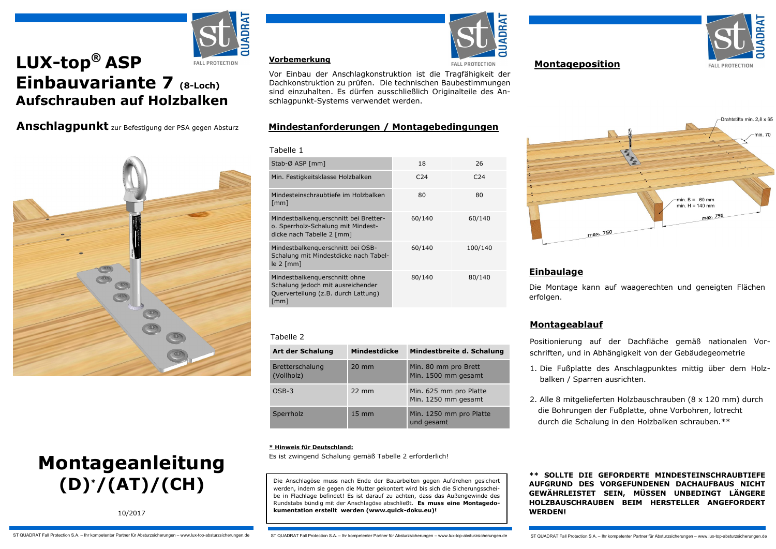# **LUX-top® ASP FALL PROTECTION Einbauvariante 7 (8-Loch) Aufschrauben auf Holzbalken**

**Anschlagpunkt** zur Befestigung der PSA gegen Absturz





10/2017



#### **Vorbemerkung**

Vor Einbau der Anschlagkonstruktion ist die Tragfähigkeit der Dachkonstruktion zu prüfen. Die technischen Baubestimmungen sind einzuhalten. Es dürfen ausschließlich Originalteile des Anschlagpunkt-Systems verwendet werden.

## **Mindestanforderungen / Montagebedingungen**

| Tabelle 1                                                                                                                         |                 |                 |
|-----------------------------------------------------------------------------------------------------------------------------------|-----------------|-----------------|
| Stab-Ø ASP [mm]                                                                                                                   | 18              | 26              |
| Min. Festigkeitsklasse Holzbalken                                                                                                 | C <sub>24</sub> | C <sub>24</sub> |
| Mindesteinschraubtiefe im Holzbalken<br>$\lceil$ mm $\rceil$                                                                      | 80              | 80              |
| Mindestbalkenquerschnitt bei Bretter-<br>o. Sperrholz-Schalung mit Mindest-<br>dicke nach Tabelle 2 [mm]                          | 60/140          | 60/140          |
| Mindestbalkenguerschnitt bei OSB-<br>Schalung mit Mindestdicke nach Tabel-<br>$le 2$ [mm]                                         | 60/140          | 100/140         |
| Mindestbalkenquerschnitt ohne<br>Schalung jedoch mit ausreichender<br>Querverteilung (z.B. durch Lattung)<br>$\lceil$ mm $\rceil$ | 80/140          | 80/140          |

#### Tabelle 2

| Art der Schalung              | <b>Mindestdicke</b> | Mindestbreite d. Schalung                     |
|-------------------------------|---------------------|-----------------------------------------------|
| Bretterschalung<br>(Vollholz) | $20 \text{ mm}$     | Min. 80 mm pro Brett<br>Min. 1500 mm gesamt   |
| $OSB-3$                       | $22 \text{ mm}$     | Min. 625 mm pro Platte<br>Min. 1250 mm gesamt |
| Sperrholz                     | $15 \text{ mm}$     | Min. 1250 mm pro Platte<br>und gesamt         |

#### **\* Hinweis für Deutschland:**

Es ist zwingend Schalung gemäß Tabelle 2 erforderlich!

Die Anschlagöse muss nach Ende der Bauarbeiten gegen Aufdrehen gesichert werden, indem sie gegen die Mutter gekontert wird bis sich die Sicherungsscheibe in Flachlage befindet! Es ist darauf zu achten, dass das Außengewinde des Rundstabs bündig mit der Anschlagöse abschließt. **Es muss eine Montagedokumentation erstellt werden (www.quick-doku.eu)!**

**ADR EALL PROTECTION** 

# **Montageposition**





# **Einbaulage**

Die Montage kann auf waagerechten und geneigten Flächen erfolgen.

# **Montageablauf**

Positionierung auf der Dachfläche gemäß nationalen Vorschriften, und in Abhängigkeit von der Gebäudegeometrie

- 1. Die Fußplatte des Anschlagpunktes mittig über dem Holzbalken / Sparren ausrichten.
- 2. Alle 8 mitgelieferten Holzbauschrauben (8 x 120 mm) durch die Bohrungen der Fußplatte, ohne Vorbohren, lotrecht durch die Schalung in den Holzbalken schrauben.\*\*

**\*\* SOLLTE DIE GEFORDERTE MINDESTEINSCHRAUBTIEFE AUFGRUND DES VORGEFUNDENEN DACHAUFBAUS NICHT GEWÄHRLEISTET SEIN, MÜSSEN UNBEDINGT LÄNGERE HOLZBAUSCHRAUBEN BEIM HERSTELLER ANGEFORDERT WERDEN!**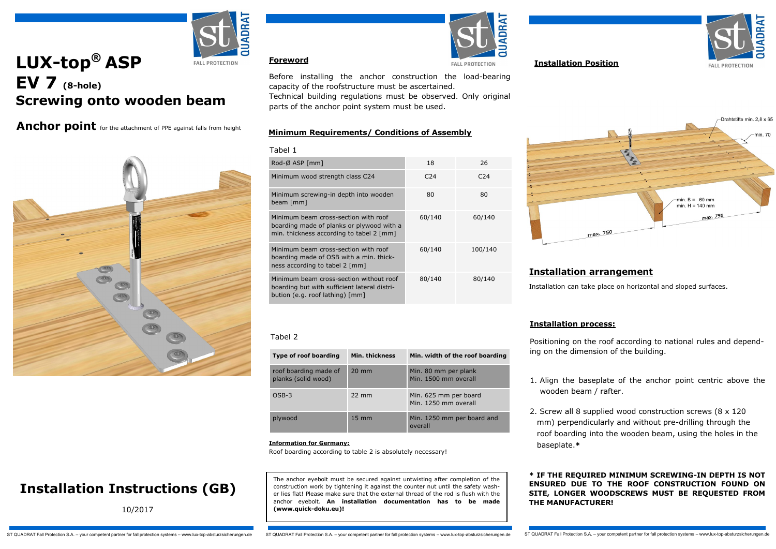

# **LUX-top® ASP EALL PROTECTION EV 7 (8-hole) Screwing onto wooden beam**

Anchor point for the attachment of PPE against falls from height



# **Installation Instructions (GB)**

10/2017

**Foreword**

beam [mm]

Tabel 1





**Installation Position**



Drahtstifte min. 2.8 x 6  $min B = 60 mm$  $min H = 140 mm$ max. 750

## **Installation arrangement**

Installation can take place on horizontal and sloped surfaces.

### **Installation process:**

Positioning on the roof according to national rules and depending on the dimension of the building.

- 1. Align the baseplate of the anchor point centric above the wooden beam / rafter.
- 2. Screw all 8 supplied wood construction screws (8 x 120 mm) perpendicularly and without pre-drilling through the roof boarding into the wooden beam, using the holes in the baseplate.**\***

**\* IF THE REQUIRED MINIMUM SCREWING-IN DEPTH IS NOT ENSURED DUE TO THE ROOF CONSTRUCTION FOUND ON SITE, LONGER WOODSCREWS MUST BE REQUESTED FROM THE MANUFACTURER!**

#### **Information for Germany:**  Roof boarding according to table 2 is absolutely necessary!

roof boarding made of planks (solid wood)

Tabel 2

The anchor eyebolt must be secured against untwisting after completion of the construction work by tightening it against the counter nut until the safety washer lies flat! Please make sure that the external thread of the rod is flush with the anchor eyebolt. **An installation documentation has to be made (www.quick-doku.eu)!**

**Type of roof boarding Min. thickness Min. width of the roof boarding**

OSB-3 22 mm Min. 625 mm per board

plywood 15 mm Min. 1250 mm per board and

20 mm Min. 80 mm per plank

overall

Min. 1500 mm overall

80 80

60/140 60/140

60/140 100/140

80/140 80/140

Min. 1250 mm overall

Before installing the anchor construction the load-bearing

Technical building regulations must be observed. Only original

capacity of the roofstructure must be ascertained.

**Minimum Requirements/ Conditions of Assembly** 

Rod-Ø ASP [mm] 18 26 Minimum wood strength class C24 C24 C24 C24

parts of the anchor point system must be used.

Minimum screwing-in depth into wooden

Minimum beam cross-section with roof boarding made of planks or plywood with a min. thickness according to tabel 2 [mm]

Minimum beam cross-section with roof boarding made of OSB with a min. thickness according to tabel 2 [mm]

Minimum beam cross-section without roof boarding but with sufficient lateral distribution (e.g. roof lathing) [mm]